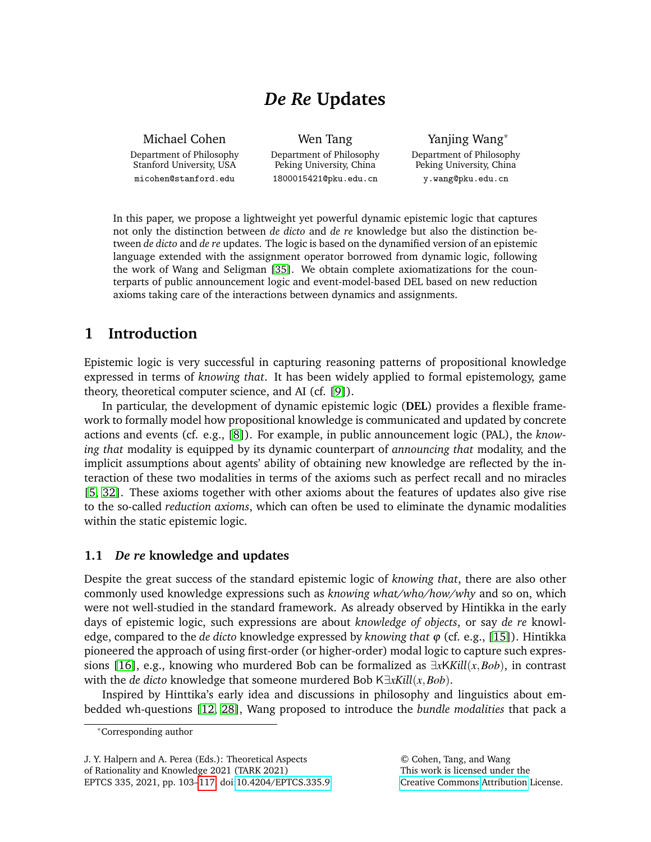# *De Re* **Updates**

Michael Cohen Department of Philosophy Stanford University, USA micohen@stanford.edu

Wen Tang Department of Philosophy Peking University, China 1800015421@pku.edu.cn

Yanjing Wang\* Department of Philosophy Peking University, China y.wang@pku.edu.cn

In this paper, we propose a lightweight yet powerful dynamic epistemic logic that captures not only the distinction between *de dicto* and *de re* knowledge but also the distinction between *de dicto* and *de re* updates. The logic is based on the dynamified version of an epistemic language extended with the assignment operator borrowed from dynamic logic, following the work of Wang and Seligman [\[35\]](#page-14-1). We obtain complete axiomatizations for the counterparts of public announcement logic and event-model-based DEL based on new reduction axioms taking care of the interactions between dynamics and assignments.

# **1 Introduction**

Epistemic logic is very successful in capturing reasoning patterns of propositional knowledge expressed in terms of *knowing that*. It has been widely applied to formal epistemology, game theory, theoretical computer science, and AI (cf. [\[9\]](#page-13-0)).

In particular, the development of dynamic epistemic logic (**DEL**) provides a flexible framework to formally model how propositional knowledge is communicated and updated by concrete actions and events (cf. e.g., [\[8\]](#page-13-1)). For example, in public announcement logic (PAL), the *knowing that* modality is equipped by its dynamic counterpart of *announcing that* modality, and the implicit assumptions about agents' ability of obtaining new knowledge are reflected by the interaction of these two modalities in terms of the axioms such as perfect recall and no miracles [\[5,](#page-13-2) [32\]](#page-14-2). These axioms together with other axioms about the features of updates also give rise to the so-called *reduction axioms*, which can often be used to eliminate the dynamic modalities within the static epistemic logic.

# **1.1** *De re* **knowledge and updates**

Despite the great success of the standard epistemic logic of *knowing that*, there are also other commonly used knowledge expressions such as *knowing what/who/how/why* and so on, which were not well-studied in the standard framework. As already observed by Hintikka in the early days of epistemic logic, such expressions are about *knowledge of objects*, or say *de re* knowledge, compared to the *de dicto* knowledge expressed by *knowing that* ϕ (cf. e.g., [\[15\]](#page-13-3)). Hintikka pioneered the approach of using first-order (or higher-order) modal logic to capture such expressions [\[16\]](#page-13-4), e.g., knowing who murdered Bob can be formalized as ∃*x*K*Kill*(*x*,*Bob*), in contrast with the *de dicto* knowledge that someone murdered Bob K∃*xKill*(*x*,*Bob*).

Inspired by Hinttika's early idea and discussions in philosophy and linguistics about embedded wh-questions [\[12,](#page-13-5) [28\]](#page-14-3), Wang proposed to introduce the *bundle modalities* that pack a

J. Y. Halpern and A. Perea (Eds.): Theoretical Aspects of Rationality and Knowledge 2021 (TARK 2021) EPTCS 335, 2021, pp. 103[–117,](#page-14-0) doi[:10.4204/EPTCS.335.9](http://dx.doi.org/10.4204/EPTCS.335.9)

<sup>\*</sup>Corresponding author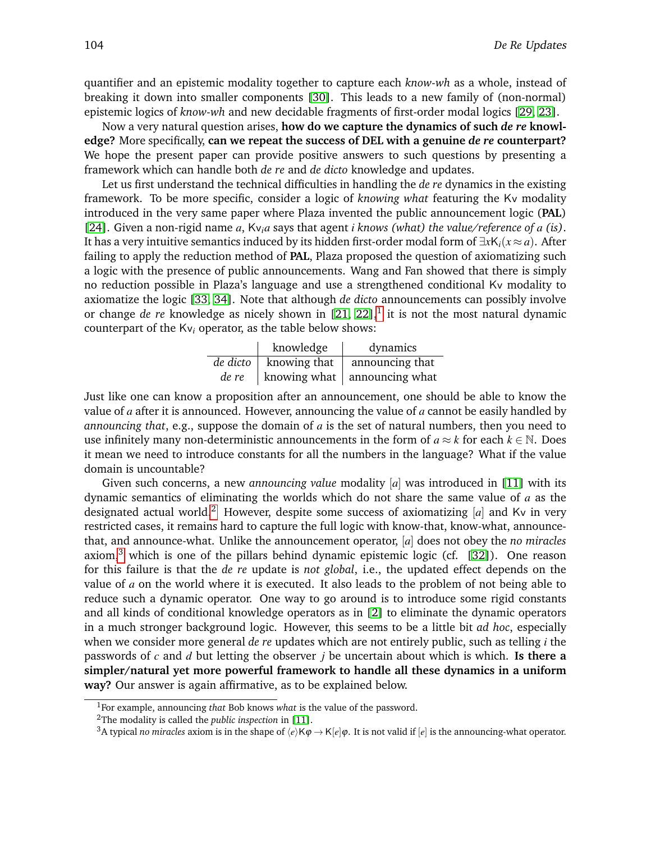quantifier and an epistemic modality together to capture each *know-wh* as a whole, instead of breaking it down into smaller components [\[30\]](#page-14-4). This leads to a new family of (non-normal) epistemic logics of *know-wh* and new decidable fragments of first-order modal logics [\[29,](#page-14-5) [23\]](#page-14-6).

Now a very natural question arises, **how do we capture the dynamics of such** *de re* **knowledge?** More specifically, **can we repeat the success of DEL with a genuine** *de re* **counterpart?** We hope the present paper can provide positive answers to such questions by presenting a framework which can handle both *de re* and *de dicto* knowledge and updates.

Let us first understand the technical difficulties in handling the *de re* dynamics in the existing framework. To be more specific, consider a logic of *knowing what* featuring the Kv modality introduced in the very same paper where Plaza invented the public announcement logic (**PAL**) [\[24\]](#page-14-7). Given a non-rigid name *a*, Kv*ia* says that agent *i knows (what) the value/reference of a (is)*. It has a very intuitive semantics induced by its hidden first-order modal form of ∃*x*K*i*(*x* ≈ *a*). After failing to apply the reduction method of **PAL**, Plaza proposed the question of axiomatizing such a logic with the presence of public announcements. Wang and Fan showed that there is simply no reduction possible in Plaza's language and use a strengthened conditional Kv modality to axiomatize the logic [\[33,](#page-14-8) [34\]](#page-14-9). Note that although *de dicto* announcements can possibly involve or change *de re* knowledge as nicely shown in [\[21,](#page-14-10) [22\]](#page-14-11),<sup>[1](#page-1-0)</sup> it is not the most natural dynamic counterpart of the Kv*<sup>i</sup>* operator, as the table below shows:

|       | knowledge                  | dynamics                             |
|-------|----------------------------|--------------------------------------|
|       | $de\,dicto$   knowing that | announcing that                      |
| de re |                            | knowing what $\vert$ announcing what |

Just like one can know a proposition after an announcement, one should be able to know the value of *a* after it is announced. However, announcing the value of *a* cannot be easily handled by *announcing that*, e.g., suppose the domain of *a* is the set of natural numbers, then you need to use infinitely many non-deterministic announcements in the form of  $a \approx k$  for each  $k \in \mathbb{N}$ . Does it mean we need to introduce constants for all the numbers in the language? What if the value domain is uncountable?

Given such concerns, a new *announcing value* modality [a] was introduced in [\[11\]](#page-13-6) with its dynamic semantics of eliminating the worlds which do not share the same value of *a* as the designated actual world.<sup>[2](#page-1-1)</sup> However, despite some success of axiomatizing  $[a]$  and Kv in very restricted cases, it remains hard to capture the full logic with know-that, know-what, announcethat, and announce-what. Unlike the announcement operator, [*a*] does not obey the *no miracles* axiom,<sup>[3](#page-1-2)</sup> which is one of the pillars behind dynamic epistemic logic (cf.  $[32]$ ). One reason for this failure is that the *de re* update is *not global*, i.e., the updated effect depends on the value of *a* on the world where it is executed. It also leads to the problem of not being able to reduce such a dynamic operator. One way to go around is to introduce some rigid constants and all kinds of conditional knowledge operators as in [\[2\]](#page-13-7) to eliminate the dynamic operators in a much stronger background logic. However, this seems to be a little bit *ad hoc*, especially when we consider more general *de re* updates which are not entirely public, such as telling *i* the passwords of *c* and *d* but letting the observer *j* be uncertain about which is which. **Is there a simpler/natural yet more powerful framework to handle all these dynamics in a uniform way?** Our answer is again affirmative, as to be explained below.

<span id="page-1-0"></span><sup>1</sup>For example, announcing *that* Bob knows *what* is the value of the password.

<span id="page-1-1"></span><sup>2</sup>The modality is called the *public inspection* in [\[11\]](#page-13-6).

<span id="page-1-2"></span><sup>&</sup>lt;sup>3</sup>A typical *no miracles* axiom is in the shape of  $\langle e \rangle K \varphi \to K[\varrho] \varphi$ . It is not valid if  $[\varrho]$  is the announcing-what operator.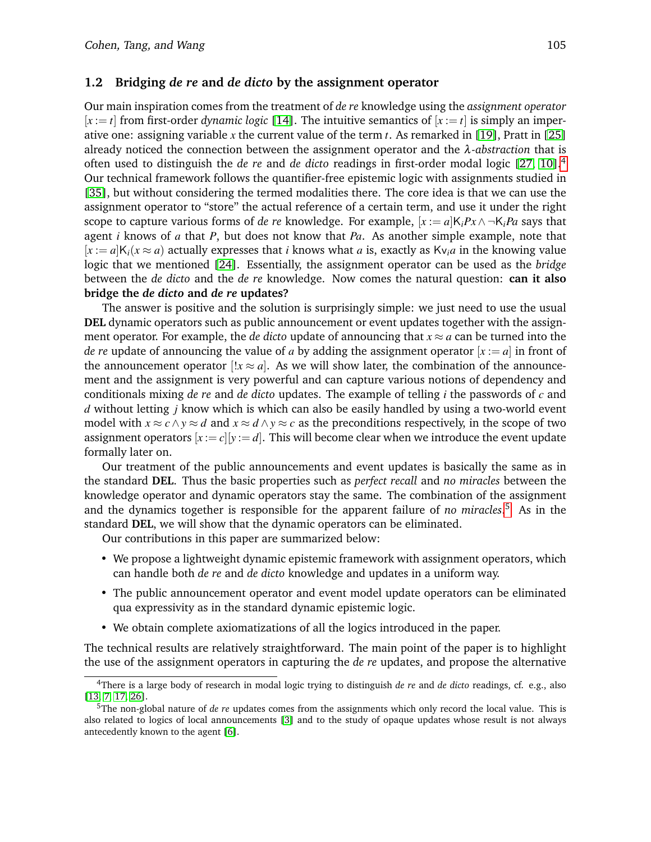### **1.2 Bridging** *de re* **and** *de dicto* **by the assignment operator**

Our main inspiration comes from the treatment of *de re* knowledge using the *assignment operator*  $[x := t]$  from first-order *dynamic logic* [\[14\]](#page-13-8). The intuitive semantics of  $[x := t]$  is simply an imperative one: assigning variable *x* the current value of the term *t*. As remarked in [\[19\]](#page-14-12), Pratt in [\[25\]](#page-14-13) already noticed the connection between the assignment operator and the λ*-abstraction* that is often used to distinguish the *de re* and *de dicto* readings in first-order modal logic [\[27,](#page-14-14) [10\]](#page-13-9).[4](#page-2-0) Our technical framework follows the quantifier-free epistemic logic with assignments studied in [\[35\]](#page-14-1), but without considering the termed modalities there. The core idea is that we can use the assignment operator to "store" the actual reference of a certain term, and use it under the right scope to capture various forms of *de re* knowledge. For example,  $[x := a]K_iPx \wedge \neg K_iPa$  says that agent *i* knows of *a* that *P*, but does not know that *Pa*. As another simple example, note that  $[x := a]K_i(x \approx a)$  actually expresses that *i* knows what *a* is, exactly as  $Kv_i a$  in the knowing value logic that we mentioned [\[24\]](#page-14-7). Essentially, the assignment operator can be used as the *bridge* between the *de dicto* and the *de re* knowledge. Now comes the natural question: **can it also bridge the** *de dicto* **and** *de re* **updates?**

The answer is positive and the solution is surprisingly simple: we just need to use the usual **DEL** dynamic operators such as public announcement or event updates together with the assignment operator. For example, the *de dicto* update of announcing that  $x \approx a$  can be turned into the *de re* update of announcing the value of *a* by adding the assignment operator  $[x := a]$  in front of the announcement operator  $[!x \approx a]$ . As we will show later, the combination of the announcement and the assignment is very powerful and can capture various notions of dependency and conditionals mixing *de re* and *de dicto* updates. The example of telling *i* the passwords of *c* and *d* without letting *j* know which is which can also be easily handled by using a two-world event model with  $x \approx c \land y \approx d$  and  $x \approx d \land y \approx c$  as the preconditions respectively, in the scope of two assignment operators  $[x := c][y := d]$ . This will become clear when we introduce the event update formally later on.

Our treatment of the public announcements and event updates is basically the same as in the standard **DEL**. Thus the basic properties such as *perfect recall* and *no miracles* between the knowledge operator and dynamic operators stay the same. The combination of the assignment and the dynamics together is responsible for the apparent failure of *no miracles*. [5](#page-2-1) As in the standard **DEL**, we will show that the dynamic operators can be eliminated.

Our contributions in this paper are summarized below:

- We propose a lightweight dynamic epistemic framework with assignment operators, which can handle both *de re* and *de dicto* knowledge and updates in a uniform way.
- The public announcement operator and event model update operators can be eliminated qua expressivity as in the standard dynamic epistemic logic.
- We obtain complete axiomatizations of all the logics introduced in the paper.

The technical results are relatively straightforward. The main point of the paper is to highlight the use of the assignment operators in capturing the *de re* updates, and propose the alternative

<span id="page-2-0"></span><sup>4</sup>There is a large body of research in modal logic trying to distinguish *de re* and *de dicto* readings, cf. e.g., also [\[13,](#page-13-10) [7,](#page-13-11) [17,](#page-14-15) [26\]](#page-14-16).

<span id="page-2-1"></span><sup>5</sup>The non-global nature of *de re* updates comes from the assignments which only record the local value. This is also related to logics of local announcements [\[3\]](#page-13-12) and to the study of opaque updates whose result is not always antecedently known to the agent [\[6\]](#page-13-13).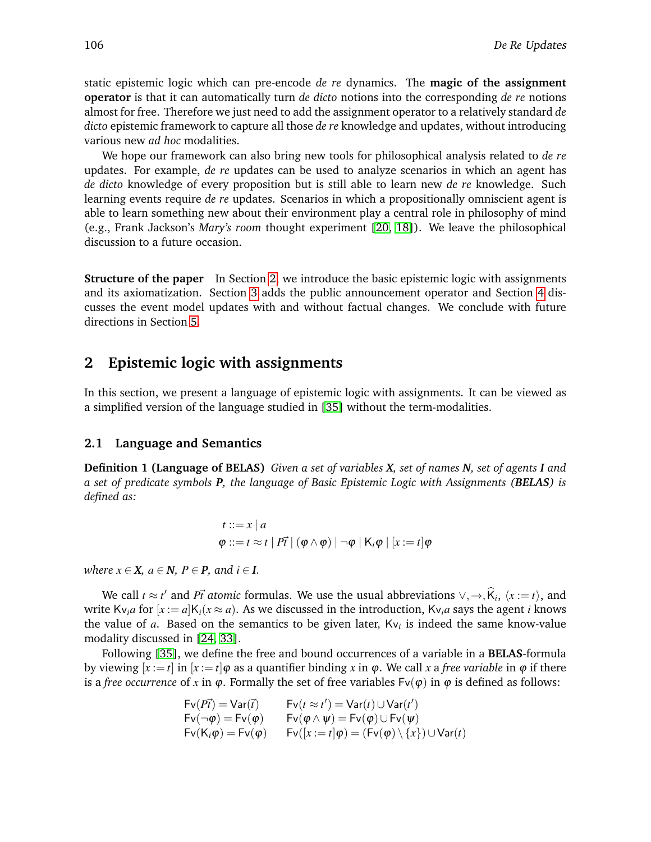static epistemic logic which can pre-encode *de re* dynamics. The **magic of the assignment operator** is that it can automatically turn *de dicto* notions into the corresponding *de re* notions almost for free. Therefore we just need to add the assignment operator to a relatively standard *de dicto* epistemic framework to capture all those *de re* knowledge and updates, without introducing various new *ad hoc* modalities.

We hope our framework can also bring new tools for philosophical analysis related to *de re* updates. For example, *de re* updates can be used to analyze scenarios in which an agent has *de dicto* knowledge of every proposition but is still able to learn new *de re* knowledge. Such learning events require *de re* updates. Scenarios in which a propositionally omniscient agent is able to learn something new about their environment play a central role in philosophy of mind (e.g., Frank Jackson's *Mary's room* thought experiment [\[20,](#page-14-17) [18\]](#page-14-18)). We leave the philosophical discussion to a future occasion.

**Structure of the paper** In Section [2,](#page-3-0) we introduce the basic epistemic logic with assignments and its axiomatization. Section [3](#page-6-0) adds the public announcement operator and Section [4](#page-9-0) discusses the event model updates with and without factual changes. We conclude with future directions in Section [5.](#page-12-0)

# <span id="page-3-0"></span>**2 Epistemic logic with assignments**

In this section, we present a language of epistemic logic with assignments. It can be viewed as a simplified version of the language studied in [\[35\]](#page-14-1) without the term-modalities.

### **2.1 Language and Semantics**

**Definition 1 (Language of BELAS)** *Given a set of variables X, set of names N, set of agents I and a set of predicate symbols P, the language of Basic Epistemic Logic with Assignments (BELAS) is defined as:*

$$
t ::= x | a
$$
  

$$
\varphi ::= t \approx t | P\vec{t} | (\varphi \wedge \varphi) | \neg \varphi | K_i \varphi | [x := t] \varphi
$$

*where*  $x \in X$ *,*  $a \in N$ *,*  $P \in P$ *, and*  $i \in I$ *.* 

We call  $t \approx t'$  and *Pt* atomic formulas. We use the usual abbreviations  $\vee, \rightarrow, \widehat{K}_i, \langle x := t \rangle$ , and write Kv<sub>i</sub>*a* for  $[x := a]K_i(x \approx a)$ . As we discussed in the introduction, Kv<sub>i</sub>*a* says the agent *i* knows the value of *a*. Based on the semantics to be given later, Kv*<sup>i</sup>* is indeed the same know-value modality discussed in [\[24,](#page-14-7) [33\]](#page-14-8).

Following [\[35\]](#page-14-1), we define the free and bound occurrences of a variable in a **BELAS**-formula by viewing  $[x := t]$  in  $[x := t]$   $\varphi$  as a quantifier binding x in  $\varphi$ . We call x a *free variable* in  $\varphi$  if there is a *free occurrence* of *x* in  $\varphi$ . Formally the set of free variables  $Fv(\varphi)$  in  $\varphi$  is defined as follows:

 $\alpha$ 

$$
Fv(P\vec{r}) = Var(\vec{r}) \qquad Fv(t \approx t') = Var(t) \cup Var(t')
$$
  
\n
$$
Fv(\neg \varphi) = Fv(\varphi) \qquad Fv(\varphi \land \psi) = Fv(\varphi) \cup Fv(\psi)
$$
  
\n
$$
Fv(K_i\varphi) = Fv(\varphi) \qquad Fv([x := t]\varphi) = (Fv(\varphi) \setminus \{x\}) \cup Var(t)
$$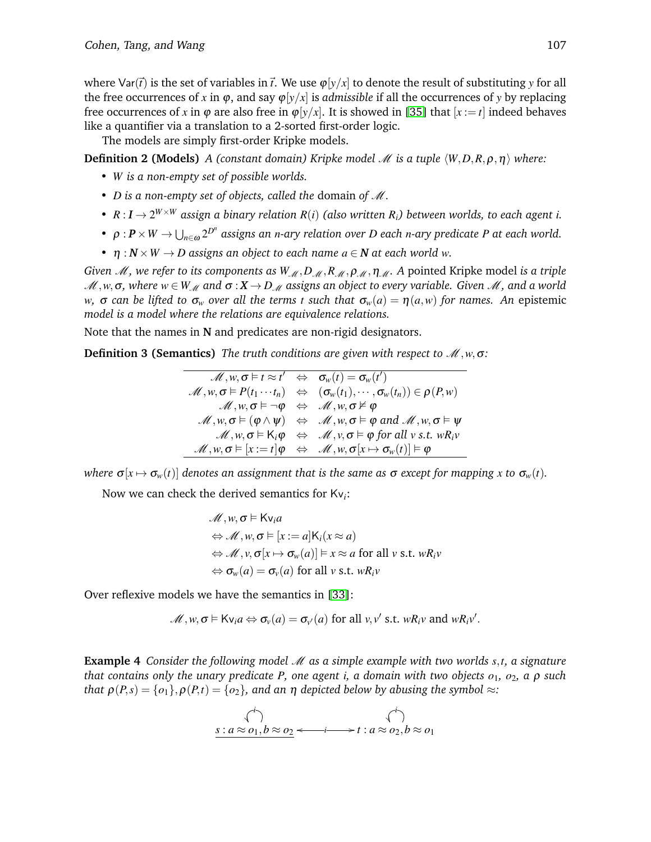where  $\text{Var}(\vec{t})$  is the set of variables in  $\vec{t}$ . We use  $\varphi[y/x]$  to denote the result of substituting y for all the free occurrences of *x* in  $\varphi$ , and say  $\varphi[y/x]$  is *admissible* if all the occurrences of *y* by replacing free occurrences of *x* in  $\varphi$  are also free in  $\varphi[y/x]$ . It is showed in [\[35\]](#page-14-1) that  $[x := t]$  indeed behaves like a quantifier via a translation to a 2-sorted first-order logic.

The models are simply first-order Kripke models.

**Definition 2 (Models)** *A* (constant domain) Kripke model *M* is a tuple  $\langle W, D, R, \rho, \eta \rangle$  where:

- *W is a non-empty set of possible worlds.*
- *D is a non-empty set of objects, called the* domain *of* M*.*
- $R: I \rightarrow 2^{W \times W}$  assign a binary relation  $R(i)$  (also written  $R_i$ ) between worlds, to each agent *i*.
- $\rho: P \times W \to \bigcup_{n \in \omega} 2^{D^n}$  assigns an *n*-ary relation over  $D$  each *n*-ary predicate  $P$  at each world.
- $\eta: N \times W \rightarrow D$  *assigns an object to each name*  $a \in \mathbb{N}$  *at each world w*.

*Given M, we refer to its components as*  $W_{M}$ , *D<sub>M</sub>*, *R<sub>M</sub>*, *ρ<sub>M</sub>*, *η<sub>M</sub>*. *A* pointed Kripke model *is a triple*  $M, w, \sigma$ , where  $w \in W_M$  and  $\sigma: X \to D_M$  assigns an object to every variable. Given M, and a world *w*, σ can be lifted to  $\sigma_w$  over all the terms *t* such that  $\sigma_w(a) = \eta(a,w)$  for names. An epistemic *model is a model where the relations are equivalence relations.*

Note that the names in **N** and predicates are non-rigid designators.

**Definition 3 (Semantics)** *The truth conditions are given with respect to* M,*w*,σ*:*

$$
\mathcal{M}, w, \sigma \vDash t \approx t' \Leftrightarrow \sigma_w(t) = \sigma_w(t')
$$
\n
$$
\mathcal{M}, w, \sigma \vDash P(t_1 \cdots t_n) \Leftrightarrow (\sigma_w(t_1), \cdots, \sigma_w(t_n)) \in \rho(P, w)
$$
\n
$$
\mathcal{M}, w, \sigma \vDash \neg \phi \Leftrightarrow \mathcal{M}, w, \sigma \nvDash \phi
$$
\n
$$
\mathcal{M}, w, \sigma \vDash (\phi \land \psi) \Leftrightarrow \mathcal{M}, w, \sigma \vDash \phi \text{ and } \mathcal{M}, w, \sigma \vDash \psi
$$
\n
$$
\mathcal{M}, w, \sigma \vDash K_i \phi \Leftrightarrow \mathcal{M}, v, \sigma \vDash \phi \text{ for all } v \text{ s.t. } wR_i v
$$
\n
$$
\mathcal{M}, w, \sigma \vDash [x := t] \phi \Leftrightarrow \mathcal{M}, w, \sigma[x \mapsto \sigma_w(t)] \vDash \phi
$$

*where*  $\sigma[x \mapsto \sigma_w(t)]$  *denotes an assignment that is the same as*  $\sigma$  *except for mapping x to*  $\sigma_w(t)$ *.* 

Now we can check the derived semantics for Kv*i*:

$$
\mathcal{M}, w, \sigma \vDash Kv_i a
$$
  
\n
$$
\Leftrightarrow \mathcal{M}, w, \sigma \vDash [x := a]K_i(x \approx a)
$$
  
\n
$$
\Leftrightarrow \mathcal{M}, v, \sigma[x \mapsto \sigma_w(a)] \vDash x \approx a \text{ for all } v \text{ s.t. } wR_i v
$$
  
\n
$$
\Leftrightarrow \sigma_w(a) = \sigma_v(a) \text{ for all } v \text{ s.t. } wR_i v
$$

Over reflexive models we have the semantics in [\[33\]](#page-14-8):

$$
\mathscr{M}, w, \sigma \vDash \mathsf{Kv}_i a \Leftrightarrow \sigma_v(a) = \sigma_{v'}(a) \text{ for all } v, v' \text{ s.t. } wR_i v \text{ and } wR_i v'.
$$

<span id="page-4-0"></span>**Example 4** *Consider the following model* M *as a simple example with two worlds s*,*t, a signature that contains only the unary predicate P, one agent i, a domain with two objects o*1*, o*2*, a* ρ *such that*  $\rho(P,s) = \{o_1\}, \rho(P,t) = \{o_2\}$ , and an  $\eta$  depicted below by abusing the symbol  $\approx$ *:* 

$$
\begin{array}{ccc}\n\left\langle \stackrel{\cdot}{\cdot}\right\rangle & & \left\langle \stackrel{\cdot}{\cdot}\right\rangle \\
\frac{s:a\approx o_1,b\approx o_2 \longleftrightarrow i\iff a\approx o_2,b\approx o_1}\n\end{array}
$$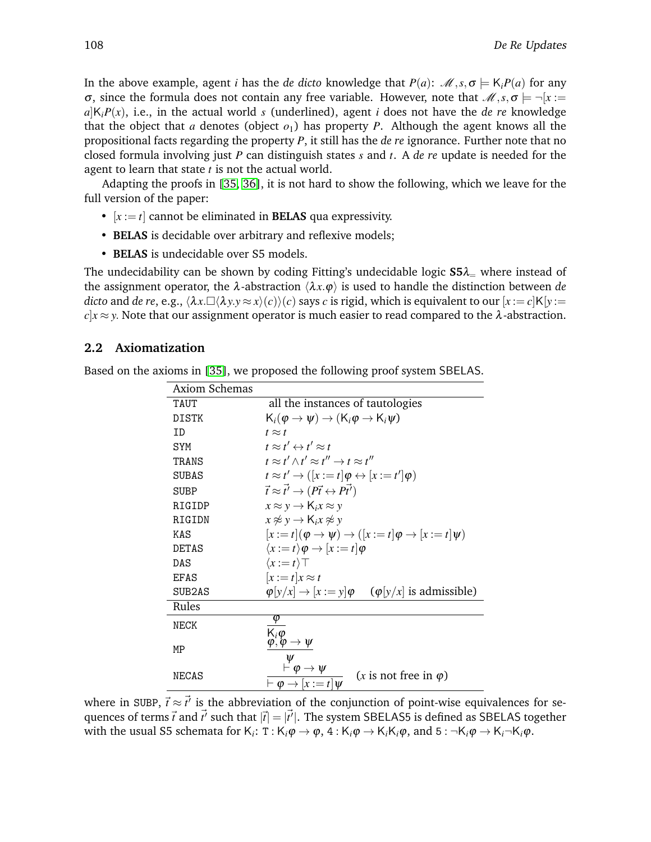In the above example, agent *i* has the *de dicto* knowledge that  $P(a)$ :  $\mathcal{M}, s, \sigma \models K_i P(a)$  for any σ, since the formula does not contain any free variable. However, note that  $\mathcal{M}, s, \sigma = \neg[x :=$  $a|K_iP(x)$ , i.e., in the actual world *s* (underlined), agent *i* does not have the *de re* knowledge that the object that *a* denotes (object  $o_1$ ) has property *P*. Although the agent knows all the propositional facts regarding the property *P*, it still has the *de re* ignorance. Further note that no closed formula involving just *P* can distinguish states *s* and *t*. A *de re* update is needed for the agent to learn that state *t* is not the actual world.

Adapting the proofs in [\[35,](#page-14-1) [36\]](#page-14-19), it is not hard to show the following, which we leave for the full version of the paper:

- $[x := t]$  cannot be eliminated in **BELAS** qua expressivity.
- **BELAS** is decidable over arbitrary and reflexive models;
- **BELAS** is undecidable over S5 models.

The undecidability can be shown by coding Fitting's undecidable logic  $S5\lambda$ <sub>=</sub> where instead of the assignment operator, the  $\lambda$ -abstraction  $\langle \lambda x.\varphi \rangle$  is used to handle the distinction between *de dicto* and *de re*, e.g.,  $\langle \lambda x. \Box \langle \lambda y. y \approx x \rangle(c) \rangle(c)$  says *c* is rigid, which is equivalent to our  $[x := c]K[y := c]$  $c|x \approx y$ . Note that our assignment operator is much easier to read compared to the  $\lambda$ -abstraction.

### **2.2 Axiomatization**

Based on the axioms in [\[35\]](#page-14-1), we proposed the following proof system SBELAS.

| <b>Axiom Schemas</b> |                                                                                             |
|----------------------|---------------------------------------------------------------------------------------------|
| TAUT                 | all the instances of tautologies                                                            |
| DISTK                | $K_i(\varphi \to \psi) \to (K_i \varphi \to K_i \psi)$                                      |
| TD.                  | $t \approx t$                                                                               |
| SYM                  | $t \approx t' \leftrightarrow t' \approx t$                                                 |
| TRANS                | $t \approx t' \wedge t' \approx t'' \rightarrow t \approx t''$                              |
| <b>SUBAS</b>         | $t \approx t' \rightarrow (x := t] \varphi \leftrightarrow [x := t'] \varphi$               |
| <b>SUBP</b>          | $\vec{t} \approx \vec{t'} \rightarrow (P\vec{t} \leftrightarrow P\vec{t'})$                 |
| RIGIDP               | $x \approx y \rightarrow K_i x \approx y$                                                   |
| RIGIDN               | $x \not\approx y \rightarrow K_i x \not\approx y$                                           |
| KAS                  | $[x := t](\varphi \rightarrow \psi) \rightarrow ([x := t]\varphi \rightarrow [x := t]\psi)$ |
| <b>DETAS</b>         | $\langle x:=t\rangle \varphi \rightarrow [x:=t] \varphi$                                    |
| DAS                  | $\langle x:=t\rangle$ T                                                                     |
| EFAS                 | $[x := t]x \approx t$                                                                       |
| SUB2AS               | $\varphi[y/x] \rightarrow [x := y] \varphi$ ( $\varphi[y/x]$ is admissible)                 |
| Rules                |                                                                                             |
| NECK                 | φ                                                                                           |
|                      | $K_i \varphi$<br>$\varphi, \varphi \to \psi$                                                |
| МP                   |                                                                                             |
|                      | $\dot{\theta} \rightarrow \psi$                                                             |
| NECAS                | (x is not free in $\varphi$ )<br>$\vdash \varphi \rightarrow [x := t] \psi$                 |

where in SUBP,  $\vec{t} \approx \vec{t'}$  is the abbreviation of the conjunction of point-wise equivalences for sequences of terms  $\vec{t}$  and  $\vec{t'}$  such that  $|\vec{t}| = |\vec{t'}|$ . The system SBELAS5 is defined as SBELAS together with the usual S5 schemata for  $K_i$ : T :  $K_i\varphi \to \varphi$ ,  $4$  :  $K_i\varphi \to K_iK_i\varphi$ , and  $5$  :  $\neg K_i\varphi \to K_i\neg K_i\varphi$ .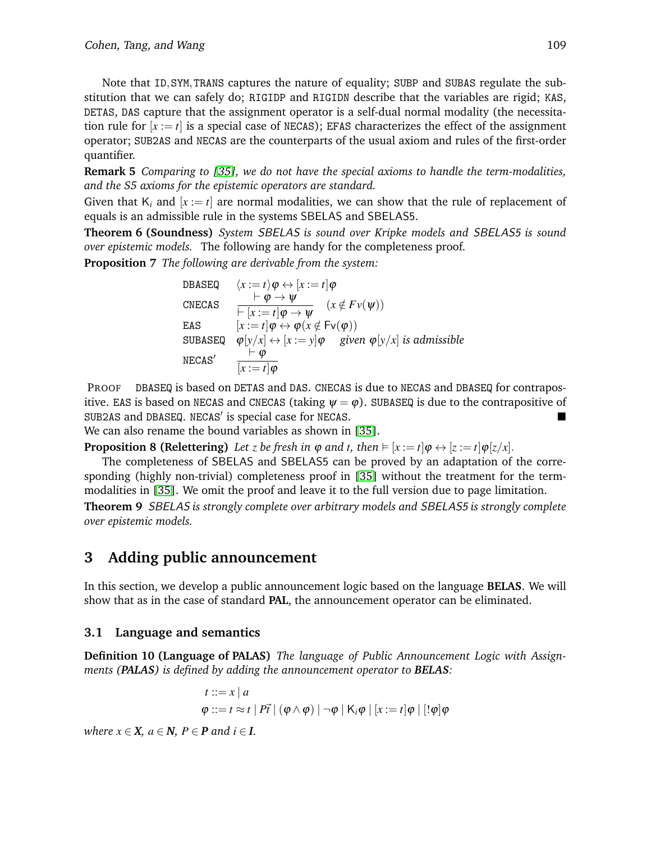Note that ID,SYM,TRANS captures the nature of equality; SUBP and SUBAS regulate the substitution that we can safely do; RIGIDP and RIGIDN describe that the variables are rigid; KAS, DETAS, DAS capture that the assignment operator is a self-dual normal modality (the necessitation rule for  $[x := t]$  is a special case of NECAS); EFAS characterizes the effect of the assignment operator; SUB2AS and NECAS are the counterparts of the usual axiom and rules of the first-order quantifier.

**Remark 5** *Comparing to [\[35\]](#page-14-1), we do not have the special axioms to handle the term-modalities, and the S5 axioms for the epistemic operators are standard.*

Given that  $K_i$  and  $[x := t]$  are normal modalities, we can show that the rule of replacement of equals is an admissible rule in the systems SBELAS and SBELAS5.

**Theorem 6 (Soundness)** *System* SBELAS *is sound over Kripke models and* SBELAS5 *is sound over epistemic models.* The following are handy for the completeness proof.

**Proposition 7** *The following are derivable from the system:*

DBASEQ 
$$
\langle x := t \rangle \varphi \leftrightarrow [x := t] \varphi
$$
  
\nCNECAS  $\frac{\vdash \varphi \rightarrow \psi}{\vdash [x := t] \varphi \rightarrow \psi} \quad (x \notin Fv(\psi))$   
\nEAS  $\qquad [x := t] \varphi \leftrightarrow \varphi(x \notin Fv(\varphi))$   
\nSUBASEQ  $\varphi[y/x] \leftrightarrow [x := y] \varphi$  given  $\varphi[y/x]$  is admissible  
\nNECAS'  $\frac{\vdash \varphi}{[x := t] \varphi}$ 

PROOF DBASEQ is based on DETAS and DAS. CNECAS is due to NECAS and DBASEQ for contrapositive. EAS is based on NECAS and CNECAS (taking  $\psi = \varphi$ ). SUBASEQ is due to the contrapositive of SUB2AS and DBASEQ. NECAS' is special case for NECAS.

We can also rename the bound variables as shown in [\[35\]](#page-14-1).

**Proposition 8 (Relettering)** Let *z* be fresh in  $\varphi$  and *t*, then  $\models [x := t] \varphi \leftrightarrow [z := t] \varphi[z/x]$ .

The completeness of SBELAS and SBELAS5 can be proved by an adaptation of the corresponding (highly non-trivial) completeness proof in [\[35\]](#page-14-1) without the treatment for the termmodalities in [\[35\]](#page-14-1). We omit the proof and leave it to the full version due to page limitation. **Theorem 9** SBELAS *is strongly complete over arbitrary models and* SBELAS5 *is strongly complete over epistemic models.*

# <span id="page-6-0"></span>**3 Adding public announcement**

In this section, we develop a public announcement logic based on the language **BELAS**. We will show that as in the case of standard **PAL**, the announcement operator can be eliminated.

# **3.1 Language and semantics**

**Definition 10 (Language of PALAS)** *The language of Public Announcement Logic with Assignments (PALAS) is defined by adding the announcement operator to BELAS:*

<span id="page-6-1"></span>
$$
t ::= x | a
$$
  
\n
$$
\varphi ::= t \approx t | P\vec{t} | (\varphi \wedge \varphi) | \neg \varphi | K_i \varphi | [x := t] \varphi | [! \varphi] \varphi
$$

*where*  $x \in X$ *,*  $a \in N$ *,*  $P \in P$  *and*  $i \in I$ *.*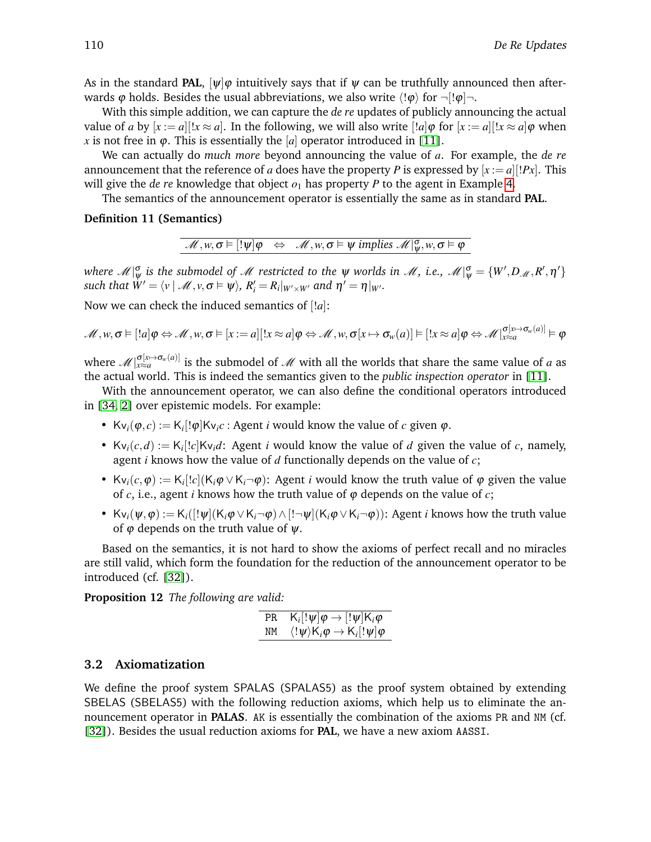As in the standard **PAL**,  $[\psi]\varphi$  intuitively says that if  $\psi$  can be truthfully announced then afterwards  $\varphi$  holds. Besides the usual abbreviations, we also write  $\langle \phi \rangle$  for  $\neg$ [! $\varphi$ ] $\neg$ .

With this simple addition, we can capture the *de re* updates of publicly announcing the actual value of *a* by  $[x := a][x \approx a]$ . In the following, we will also write  $[!a] \varphi$  for  $[x := a][x \approx a] \varphi$  when *x* is not free in  $\varphi$ . This is essentially the [*a*] operator introduced in [\[11\]](#page-13-6).

We can actually do *much more* beyond announcing the value of *a*. For example, the *de re* announcement that the reference of *a* does have the property *P* is expressed by  $[x := a][Px]$ . This will give the *de re* knowledge that object  $o_1$  has property *P* to the agent in Example [4.](#page-4-0)

The semantics of the announcement operator is essentially the same as in standard **PAL**.

#### **Definition 11 (Semantics)**

$$
\mathscr{M}, w, \sigma \vDash [! \psi] \varphi \Leftrightarrow \mathscr{M}, w, \sigma \vDash \psi \text{ implies } \mathscr{M}|_{\psi}^{\sigma}, w, \sigma \vDash \varphi
$$

where  $\mathscr{M}|_\psi^\sigma$  is the submodel of  $\mathscr{M}$  restricted to the  $\psi$  worlds in  $\mathscr{M},$  i.e.,  $\mathscr{M}|_\psi^\sigma = \{W', D_\mathscr{M}, R', \eta'\}$ *such that*  $W' = \langle v \mid \mathcal{M}, v, \sigma \vDash \psi \rangle$ ,  $R'_i = R_i|_{W' \times W'}$  and  $\eta' = \eta|_{W'}.$ 

Now we can check the induced semantics of [!*a*]:

$$
\mathscr{M}, w, \sigma \vDash [!a] \varphi \Leftrightarrow \mathscr{M}, w, \sigma \vDash [x := a] [!x \approx a] \varphi \Leftrightarrow \mathscr{M}, w, \sigma [x \mapsto \sigma_w(a)] \vDash [!x \approx a] \varphi \Leftrightarrow \mathscr{M}|_{x \approx a}^{\sigma[x \mapsto \sigma_w(a)]} \vDash \varphi
$$

where  $\mathscr{M}|_{x\approx a}^{\sigma[x\mapsto\sigma_w(a)]}$  is the submodel of  $\mathscr{M}$  with all the worlds that share the same value of *a* as the actual world. This is indeed the semantics given to the *public inspection operator* in [\[11\]](#page-13-6).

With the announcement operator, we can also define the conditional operators introduced in [\[34,](#page-14-9) [2\]](#page-13-7) over epistemic models. For example:

- Kv<sub>i</sub>( $\varphi$ , *c*) := K<sub>i</sub>[! $\varphi$ ]Kv<sub>i</sub>*c* : Agent *i* would know the value of *c* given  $\varphi$ .
- Kv<sub>i</sub> $(c,d) := K_i[!c]$ Kv<sub>i</sub> $d$ : Agent *i* would know the value of *d* given the value of *c*, namely, agent *i* knows how the value of *d* functionally depends on the value of *c*;
- Kv<sub>i</sub> $(c, \varphi) := K_i[!c]$ (K<sub>i</sub> $\varphi \vee K_i \neg \varphi$ ): Agent *i* would know the truth value of  $\varphi$  given the value of  $c$ , i.e., agent *i* knows how the truth value of  $\varphi$  depends on the value of  $c$ ;
- Kv<sub>i</sub>( $\psi, \varphi$ ) := K<sub>i</sub>([! $\psi$ ](K<sub>i</sub> $\varphi \vee K_i \neg \varphi$ ) $\wedge$  [! $\neg \psi$ ](K<sub>i</sub> $\varphi \vee K_i \neg \varphi$ )): Agent *i* knows how the truth value of  $\varphi$  depends on the truth value of  $\psi$ .

Based on the semantics, it is not hard to show the axioms of perfect recall and no miracles are still valid, which form the foundation for the reduction of the announcement operator to be introduced (cf. [\[32\]](#page-14-2)).

**Proposition 12** *The following are valid:*

PR 
$$
K_i[!\psi]\varphi \rightarrow [!\psi]K_i\varphi
$$
  
\nNM  $\langle !\psi \rangle K_i\varphi \rightarrow K_i[!\psi]\varphi$ 

#### **3.2 Axiomatization**

We define the proof system SPALAS (SPALAS5) as the proof system obtained by extending SBELAS (SBELAS5) with the following reduction axioms, which help us to eliminate the announcement operator in **PALAS**. AK is essentially the combination of the axioms PR and NM (cf. [\[32\]](#page-14-2)). Besides the usual reduction axioms for **PAL**, we have a new axiom AASSI.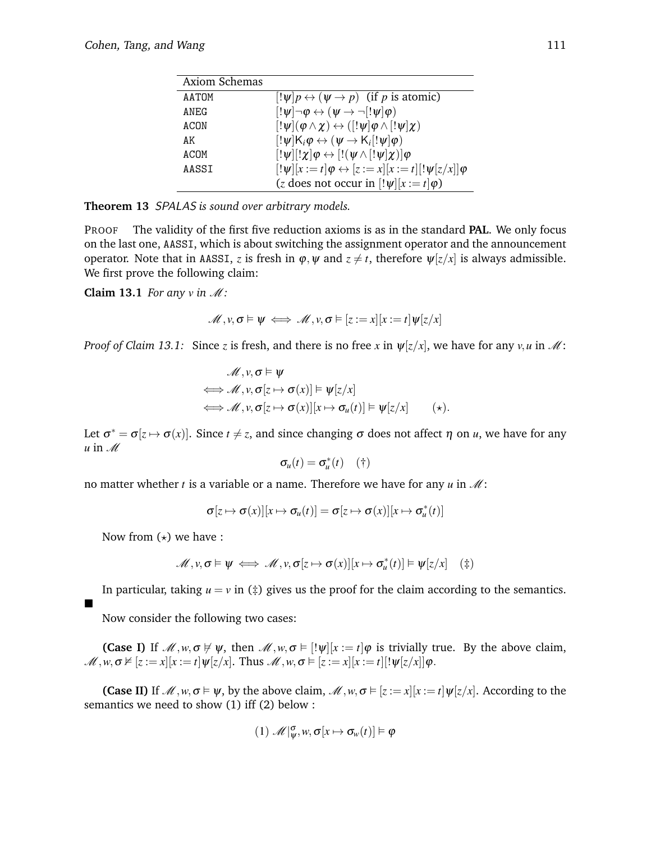| Axiom Schemas |                                                                                     |
|---------------|-------------------------------------------------------------------------------------|
| AATOM         | $\left[ \psi   p \leftrightarrow (\psi \rightarrow p) \right]$ (if p is atomic)     |
| ANEG          | $[\psi] \neg \varphi \leftrightarrow (\psi \rightarrow \neg [!\psi] \varphi)$       |
| ACON          | $[!\psi](\varphi \wedge \chi) \leftrightarrow ([!\psi]\varphi \wedge [!\psi]\chi)$  |
| AΚ            | $[! \psi] K_i \varphi \leftrightarrow (\psi \rightarrow K_i [! \psi] \varphi)$      |
| ACOM          | $[! \psi] [! \chi] \varphi \leftrightarrow [! (\psi \wedge [! \psi] \chi)] \varphi$ |
| AASSI         | $[!\Psi][x := t] \varphi \leftrightarrow [z := x][x := t] [!\Psi[z/x]] \varphi$     |
|               | (z does not occur in $[! \psi] [x := t] \varphi$ )                                  |

**Theorem 13** SPALAS *is sound over arbitrary models.*

PROOF The validity of the first five reduction axioms is as in the standard **PAL**. We only focus on the last one, AASSI, which is about switching the assignment operator and the announcement operator. Note that in AASSI, *z* is fresh in  $\varphi$ ,  $\psi$  and  $z \neq t$ , therefore  $\psi[z/x]$  is always admissible. We first prove the following claim:

**Claim 13.1** *For any*  $\nu$  *in*  $M$ :

$$
\mathscr{M}, v, \sigma \vDash \psi \iff \mathscr{M}, v, \sigma \vDash [z := x][x := t]\psi[z/x]
$$

*Proof of Claim 13.1:* Since *z* is fresh, and there is no free *x* in  $\psi[z/x]$ , we have for any *v*, *u* in *M*:

$$
\mathcal{M}, v, \sigma \vDash \psi
$$
  
\n
$$
\iff \mathcal{M}, v, \sigma [z \mapsto \sigma(x)] \vDash \psi[z/x]
$$
  
\n
$$
\iff \mathcal{M}, v, \sigma [z \mapsto \sigma(x)][x \mapsto \sigma_u(t)] \vDash \psi[z/x]
$$
 (\*).

Let  $\sigma^* = \sigma[z \mapsto \sigma(x)]$ . Since  $t \neq z$ , and since changing  $\sigma$  does not affect  $\eta$  on *u*, we have for any  $u$  in  $M$ 

$$
\sigma_u(t) = \sigma_u^*(t) \quad (\dagger)
$$

no matter whether *t* is a variable or a name. Therefore we have for any  $u$  in  $\mathcal{M}$ :

$$
\sigma[z \mapsto \sigma(x)][x \mapsto \sigma_u(t)] = \sigma[z \mapsto \sigma(x)][x \mapsto \sigma_u^*(t)]
$$

Now from  $(\star)$  we have :

$$
\mathscr{M}, \nu, \sigma \vDash \psi \iff \mathscr{M}, \nu, \sigma[z \mapsto \sigma(x)][x \mapsto \sigma_u^*(t)] \vDash \psi[z/x] \quad (\ddagger)
$$

In particular, taking  $u = v$  in ( $\ddagger$ ) gives us the proof for the claim according to the semantics.

 $\blacksquare$ 

Now consider the following two cases:

**(Case I)** If  $\mathcal{M}, w, \sigma \neq \psi$ , then  $\mathcal{M}, w, \sigma \neq [! \psi][x := t] \varphi$  is trivially true. By the above claim,  $\mathscr{M}, w, \sigma \nvDash [z := x][x := t] \psi[z/x].$  Thus  $\mathscr{M}, w, \sigma \vDash [z := x][x := t][! \psi[z/x]] \varphi.$ 

**(Case II)** If  $\mathcal{M}, w, \sigma \models \psi$ , by the above claim,  $\mathcal{M}, w, \sigma \models [z := x][x := t]\psi[z/x]$ . According to the semantics we need to show (1) iff (2) below :

$$
(1) \mathscr{M}|_{\psi}^{\sigma}, w, \sigma[x \mapsto \sigma_w(t)] \vDash \varphi
$$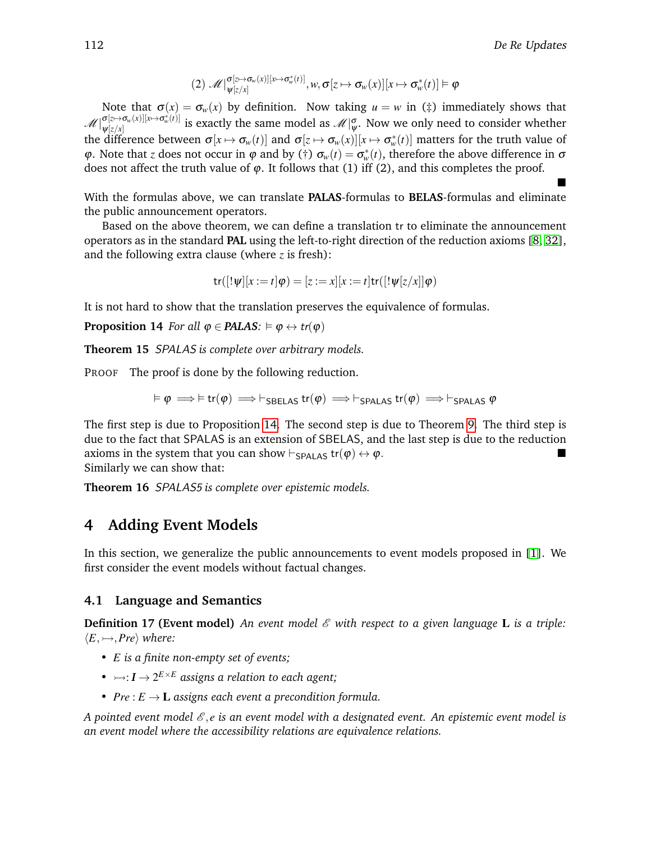$$
(2) \ \mathscr{M}|_{\psi[z/x]}^{\sigma[z \mapsto \sigma_w(x)][x \mapsto \sigma_w^*(t)]}, w, \sigma[z \mapsto \sigma_w(x)][x \mapsto \sigma_w^*(t)] \vDash \varphi
$$

Note that  $\sigma(x) = \sigma_w(x)$  by definition. Now taking  $u = w$  in ( $\ddagger$ ) immediately shows that  $\mathscr{M}$ <sup>[</sup> $\sigma$ [*z* $\mapsto$  $\sigma$ <sub>*w*</sub>(*x*)][*x* $\mapsto$  $\sigma$ <sup>\*</sup><sub>*w*</sub>(*t*)]  $\varphi_{[z/x]}^{[\alpha\mapsto\sigma_w(x)][x\mapsto\sigma_w(x)]}$  is exactly the same model as  $\mathscr{M}|\overset{\sigma}{\varphi}$ . Now we only need to consider whether the difference between  $\sigma[x \mapsto \sigma_w(t)]$  and  $\sigma[z \mapsto \sigma_w(x)][x \mapsto \sigma_w^*(t)]$  matters for the truth value of  $\varphi$ . Note that *z* does not occur in  $\varphi$  and by (†)  $\sigma_w(t) = \sigma_w^*(t)$ , therefore the above difference in  $\sigma$ does not affect the truth value of  $\varphi$ . It follows that (1) iff (2), and this completes the proof.  $\blacksquare$ 

With the formulas above, we can translate **PALAS**-formulas to **BELAS**-formulas and eliminate the public announcement operators.

Based on the above theorem, we can define a translation tr to eliminate the announcement operators as in the standard **PAL** using the left-to-right direction of the reduction axioms [\[8,](#page-13-1) [32\]](#page-14-2), and the following extra clause (where *z* is fresh):

<span id="page-9-1"></span>
$$
\mathrm{tr}([!\psi][x:=t]\varphi)=[z:=x][x:=t]\mathrm{tr}([!\psi[z/x]]\varphi)
$$

It is not hard to show that the translation preserves the equivalence of formulas.

**Proposition 14** *For all*  $\varphi \in \text{PALAS}: \models \varphi \leftrightarrow \text{tr}(\varphi)$ 

**Theorem 15** SPALAS *is complete over arbitrary models.*

PROOF The proof is done by the following reduction.

$$
\vDash \varphi \Longrightarrow \vDash \mathsf{tr}(\varphi) \Longrightarrow \vdash_{\mathsf{SBELAS}} \mathsf{tr}(\varphi) \Longrightarrow \vdash_{\mathsf{SPALAS}} \mathsf{tr}(\varphi) \Longrightarrow \vdash_{\mathsf{SPALAS}} \varphi
$$

The first step is due to Proposition [14.](#page-9-1) The second step is due to Theorem [9.](#page-6-1) The third step is due to the fact that SPALAS is an extension of SBELAS, and the last step is due to the reduction axioms in the system that you can show  $\vdash_{\mathsf{SPALAS}} \mathsf{tr}(\varphi) \leftrightarrow \varphi$ . Similarly we can show that:

**Theorem 16** SPALAS5 *is complete over epistemic models.*

# <span id="page-9-0"></span>**4 Adding Event Models**

In this section, we generalize the public announcements to event models proposed in [\[1\]](#page-13-14). We first consider the event models without factual changes.

### **4.1 Language and Semantics**

**Definition 17 (Event model)** An event model  $\mathscr E$  with respect to a given language **L** is a triple:  $\langle E, \rightarrowtail, Pre \rangle$  *where:* 

- *E is a finite non-empty set of events;*
- $\rightarrow : I \rightarrow 2^{E \times E}$  assigns a relation to each agent;
- $Pre : E \to \mathbf{L}$  assigns each event a precondition formula.

*A pointed event model*  $\mathcal{E}, e$  *is an event model with a designated event. An epistemic event model is an event model where the accessibility relations are equivalence relations.*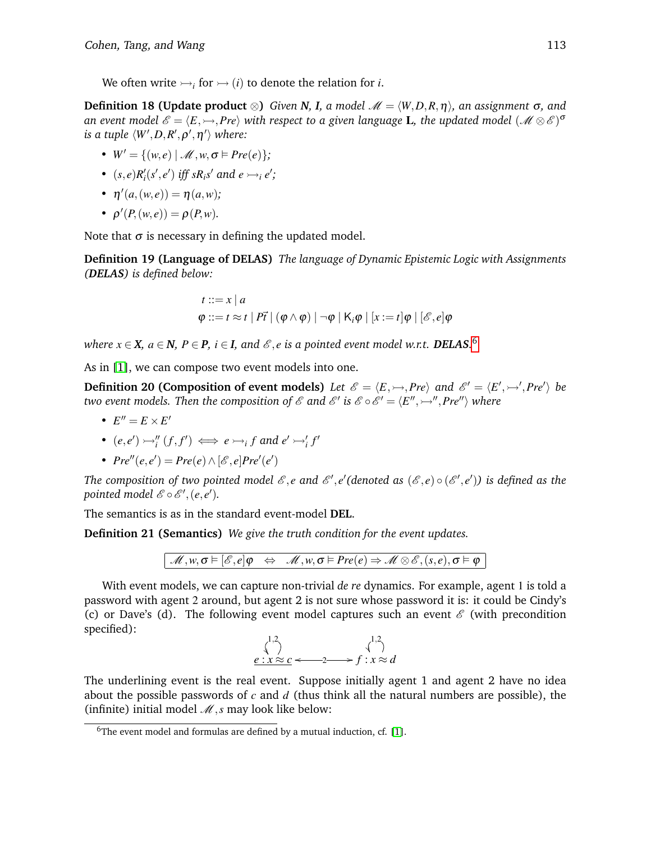We often write  $\rightarrow$  *f* for  $\rightarrow$  *(i)* to denote the relation for *i*.

**Definition 18 (Update product** ⊗) *Given N, I, a model*  $\mathcal{M} = \langle W, D, R, \eta \rangle$ *, an assignment*  $\sigma$ *, and* an event model  $\mathscr{E} = \langle E,\rightarrowtail,Pre \rangle$  with respect to a given language **L**, the updated model  $(\mathscr{M} \otimes \mathscr{E})^{\sigma}$ is a tuple  $\langle W', D, R', \rho', \eta' \rangle$  where:

- $W' = \{(w, e) | \mathcal{M}, w, \sigma \models Pre(e)\};$
- $(s, e)R'_i(s', e')$  iff  $sR_i s'$  and  $e \rightarrow e'$ ;
- $\eta'(a,(w,e)) = \eta(a,w);$
- $\rho'(P,(w,e)) = \rho(P,w)$ .

Note that  $\sigma$  is necessary in defining the updated model.

**Definition 19 (Language of DELAS)** *The language of Dynamic Epistemic Logic with Assignments (DELAS) is defined below:*

$$
t ::= x | a
$$
  

$$
\varphi ::= t \approx t | P\vec{t} | (\varphi \wedge \varphi) | \neg \varphi | K_i \varphi | [x := t] \varphi | [\mathscr{E}, e] \varphi
$$

*where*  $x \in \mathbf{X}$ *,*  $a \in \mathbf{N}$ *,*  $P \in \mathbf{P}$ *,*  $i \in \mathbf{I}$ *, and*  $\mathscr{E}, e$  *is a pointed event model w.r.t.*  $\boldsymbol{DELAS}$ *.*  $^6$  $^6$ 

As in [\[1\]](#page-13-14), we can compose two event models into one.

**Definition 20 (Composition of event models)** Let  $\mathscr{E} = \langle E, \rightarrowtail, Pre \rangle$  and  $\mathscr{E}' = \langle E', \rightarrowtail', Pre' \rangle$  be *two event models. Then the composition of*  $\mathscr E$  *and*  $\mathscr E'$  *is*  $\mathscr E\circ \mathscr E'=\langle E'',\rightarrowtail'',Pre''\rangle$  *where* 

•  $E'' = E \times E'$ 

• 
$$
(e,e') \rightarrow_i'' (f,f') \iff e \rightarrow_i f
$$
 and  $e' \rightarrow_i' f'$ 

•  $Pre''(e, e') = Pre(e) \wedge [e', e] Pre'(e')$ 

The composition of two pointed model  $\mathscr E,$   $e$  and  $\mathscr E',$   $e'$  (denoted as  $(\mathscr E,e) \circ (\mathscr E', e')$ ) is defined as the *pointed model*  $\mathscr{E} \circ \mathscr{E}', (e, e').$ 

The semantics is as in the standard event-model **DEL**.

**Definition 21 (Semantics)** *We give the truth condition for the event updates.*

 $M, w, \sigma \models [\mathscr{E}, e] \varphi \Leftrightarrow M, w, \sigma \models \text{Pre}(e) \Rightarrow M \otimes \mathscr{E}, (s, e), \sigma \models \varphi$ 

With event models, we can capture non-trivial *de re* dynamics. For example, agent 1 is told a password with agent 2 around, but agent 2 is not sure whose password it is: it could be Cindy's (c) or Dave's (d). The following event model captures such an event  $\mathscr E$  (with precondition specified):

$$
\begin{array}{ccc}\n\binom{1,2}{2} & \binom{1,2}{2} & \binom{1,2}{2} & \binom{1,2}{2} & \binom{1,2}{2} & \binom{1,2}{2} & \binom{1,2}{2} & \binom{1,2}{2} & \binom{1,2}{2} & \binom{1,2}{2} & \binom{1,2}{2} & \binom{1,2}{2} & \binom{1,2}{2} & \binom{1,2}{2} & \binom{1,2}{2} & \binom{1,2}{2} & \binom{1,2}{2} & \binom{1,2}{2} & \binom{1,2}{2} & \binom{1,2}{2} & \binom{1,2}{2} & \binom{1,2}{2} & \binom{1,2}{2} & \binom{1,2}{2} & \binom{1,2}{2} & \binom{1,2}{2} & \binom{1,2}{2} & \binom{1,2}{2} & \binom{1,2}{2} & \binom{1,2}{2} & \binom{1,2}{2} & \binom{1,2}{2} & \binom{1,2}{2} & \binom{1,2}{2} & \binom{1,2}{2} & \binom{1,2}{2} & \binom{1,2}{2} & \binom{1,2}{2} & \binom{1,2}{2} & \binom{1,2}{2} & \binom{1,2}{2} & \binom{1,2}{2} & \binom{1,2}{2} & \binom{1,2}{2} & \binom{1,2}{2} & \binom{1,2}{2} & \binom{1,2}{2} & \binom{1,2}{2} & \binom{1,2}{2} & \binom{1,2}{2} & \binom{1,2}{2} & \binom{1,2}{2} & \binom{1,2}{2} & \binom{1,2}{2} & \binom{1,2}{2} & \binom{1,2}{2} & \binom{1,2}{2} & \binom{1,2}{2} & \binom{1,2}{2} & \binom{1,2}{2} & \binom{1,2}{2} & \binom{1,2}{2} & \binom{1,2}{2} & \binom{1,2}{2} & \binom{1,2}{2} & \binom{1,2}{2} & \binom{1,2}{2} & \binom{1,2}{2} & \binom{
$$

The underlining event is the real event. Suppose initially agent 1 and agent 2 have no idea about the possible passwords of *c* and *d* (thus think all the natural numbers are possible), the (infinite) initial model  $\mathcal{M}, s$  may look like below:

<span id="page-10-0"></span> $6$ The event model and formulas are defined by a mutual induction, cf. [\[1\]](#page-13-14).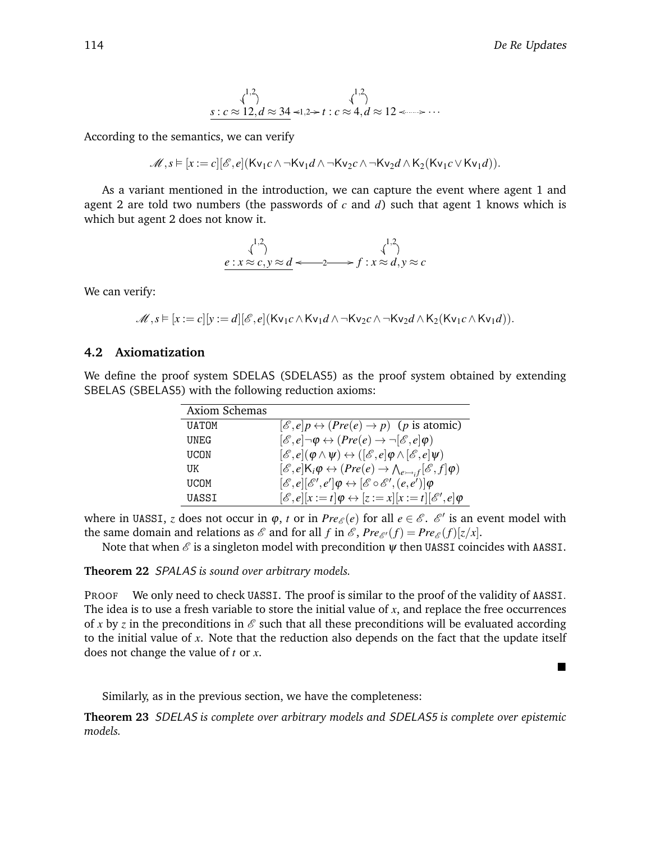■

$$
\begin{array}{c}\n\langle \cdot \rangle \\
s:c \approx 12, d \approx 34 \prec 1, 2 \succ t : c \approx 4, d \approx 12 \prec \cdots \succ \cdots\n\end{array}
$$

According to the semantics, we can verify

$$
\mathscr{M},s \vDash [x:=c][\mathscr{E},e](\mathsf{Kv}_1c \wedge \neg \mathsf{Kv}_1d \wedge \neg \mathsf{Kv}_2c \wedge \neg \mathsf{Kv}_2d \wedge \mathsf{K}_2(\mathsf{Kv}_1c \vee \mathsf{Kv}_1d)).
$$

As a variant mentioned in the introduction, we can capture the event where agent 1 and agent 2 are told two numbers (the passwords of *c* and *d*) such that agent 1 knows which is which but agent 2 does not know it.

$$
\begin{array}{ccc}\n\downarrow^{1,2} & & \downarrow^{1,2} \\
e: x \approx c, y \approx d \iff & 2 \implies f: x \approx d, y \approx c\n\end{array}
$$

We can verify:

 $\mathcal{M}, s \models [x := c][y := d][\mathcal{E}, e](\text{Kv}_1 c \wedge \text{Kv}_1 d \wedge \neg \text{Kv}_2 c \wedge \neg \text{Kv}_2 d \wedge \text{K}_2(\text{Kv}_1 c \wedge \text{Kv}_1 d)).$ 

### **4.2 Axiomatization**

We define the proof system SDELAS (SDELAS5) as the proof system obtained by extending SBELAS (SBELAS5) with the following reduction axioms:

| <b>Axiom Schemas</b> |                                                                                                                                    |
|----------------------|------------------------------------------------------------------------------------------------------------------------------------|
| <b>UATOM</b>         | $[\mathscr{E}, e]p \leftrightarrow (Pre(e) \rightarrow p)$ (p is atomic)                                                           |
| UNEG                 | $[\mathscr{E}, e] \neg \phi \leftrightarrow (Pre(e) \rightarrow \neg [\mathscr{E}, e] \phi)$                                       |
| UCON                 | $[\mathscr{E}, e](\varphi \wedge \psi) \leftrightarrow ([\mathscr{E}, e] \varphi \wedge [\mathscr{E}, e] \psi)$                    |
| UK                   | $[\mathscr{E}, e]$ K <sub>i</sub> $\varphi \leftrightarrow (Pre(e) \rightarrow \wedge_{e \rightarrow f} [\mathscr{E}, f] \varphi)$ |
| <b>UCOM</b>          | $[\mathscr{E}, e][\mathscr{E}', e']\varphi \leftrightarrow [\mathscr{E}\circ \mathscr{E}', (e,e')] \varphi$                        |
| UASSI                | $[\mathscr{E}, e][x := t] \varphi \leftrightarrow [z := x][x := t][\mathscr{E}', e] \varphi$                                       |

where in UASSI, *z* does not occur in  $\varphi$ , *t* or in  $Pre_{\mathscr{E}}(e)$  for all  $e \in \mathscr{E}$ .  $\mathscr{E}'$  is an event model with the same domain and relations as  $\mathscr E$  and for all  $f$  in  $\mathscr E$ ,  $Pre_{\mathscr E'}(f) = Pre_{\mathscr E}(f)[z/x].$ 

Note that when  $\mathcal E$  is a singleton model with precondition  $\psi$  then UASSI coincides with AASSI.

**Theorem 22** SPALAS *is sound over arbitrary models.*

PROOF We only need to check UASSI. The proof is similar to the proof of the validity of AASSI. The idea is to use a fresh variable to store the initial value of *x*, and replace the free occurrences of x by z in the preconditions in  $\mathscr E$  such that all these preconditions will be evaluated according to the initial value of *x*. Note that the reduction also depends on the fact that the update itself does not change the value of *t* or *x*.

Similarly, as in the previous section, we have the completeness:

**Theorem 23** SDELAS *is complete over arbitrary models and* SDELAS5 *is complete over epistemic models.*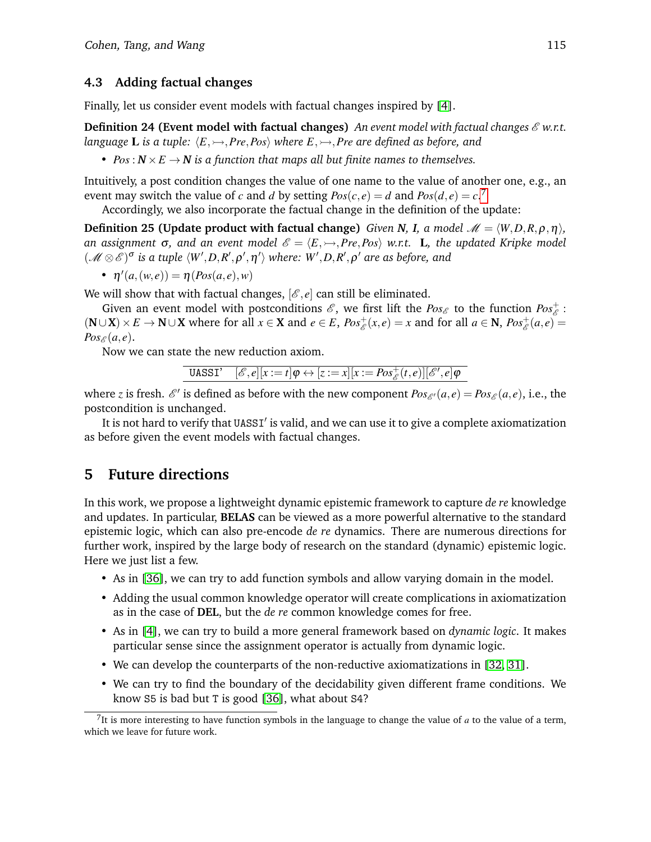### **4.3 Adding factual changes**

Finally, let us consider event models with factual changes inspired by [\[4\]](#page-13-15).

**Definition 24 (Event model with factual changes)** *An event model with factual changes*  $\mathcal{E}$  w.r.t. *language* **L** *is a tuple:*  $\langle E, \rightarrow P$ *re*,*Pos\ where*  $E, \rightarrow P$ *re are defined as before, and* 

• *Pos*:  $N \times E \rightarrow N$  *is a function that maps all but finite names to themselves.* 

Intuitively, a post condition changes the value of one name to the value of another one, e.g., an event may switch the value of *c* and *d* by setting  $Pos(c, e) = d$  and  $Pos(d, e) = c$ .<sup>[7](#page-12-1)</sup>

Accordingly, we also incorporate the factual change in the definition of the update:

**Definition 25 (Update product with factual change)** *Given N*, *I*, *a* model  $\mathcal{M} = \langle W, D, R, \rho, \eta \rangle$ , *an assignment*  $\sigma$ , and an event model  $\mathscr{E} = \langle E, \rightarrow, Pre, Pos \rangle$  w.r.t. L, the updated Kripke model  $(\mathscr{M} \otimes \mathscr{E})^{\sigma}$  is a tuple  $\langle W', D, R', \rho', \eta' \rangle$  where:  $W', D, R', \rho'$  are as before, and

•  $\eta'(a,(w,e)) = \eta(Pos(a,e),w)$ 

We will show that with factual changes,  $[\mathscr{E}, e]$  can still be eliminated.

Given an event model with postconditions  $\mathscr{E}$ , we first lift the  $Pos_{\mathscr{E}}$  to the function  $Pos_{\mathscr{E}}^+$ :  $(N \cup X) \times E \to N \cup X$  where for all  $x \in X$  and  $e \in E$ ,  $Pos_{\mathscr{E}}^+(x,e) = x$  and for all  $a \in N$ ,  $Pos_{\mathscr{E}}^+(a,e) =$  $Pos_{\mathscr{E}}(a,e).$ 

Now we can state the new reduction axiom.

**UASSI'** 
$$
[\mathscr{E}, e][x := t] \varphi \leftrightarrow [z := x][x := Pos_{\mathscr{E}}^+(t, e)][\mathscr{E}', e] \varphi
$$

where *z* is fresh.  $\mathcal{E}'$  is defined as before with the new component  $Pos_{\mathcal{E}'}(a,e) = Pos_{\mathcal{E}}(a,e)$ , i.e., the postcondition is unchanged.

It is not hard to verify that UASSI' is valid, and we can use it to give a complete axiomatization as before given the event models with factual changes.

# <span id="page-12-0"></span>**5 Future directions**

In this work, we propose a lightweight dynamic epistemic framework to capture *de re* knowledge and updates. In particular, **BELAS** can be viewed as a more powerful alternative to the standard epistemic logic, which can also pre-encode *de re* dynamics. There are numerous directions for further work, inspired by the large body of research on the standard (dynamic) epistemic logic. Here we just list a few.

- As in [\[36\]](#page-14-19), we can try to add function symbols and allow varying domain in the model.
- Adding the usual common knowledge operator will create complications in axiomatization as in the case of **DEL**, but the *de re* common knowledge comes for free.
- As in [\[4\]](#page-13-15), we can try to build a more general framework based on *dynamic logic*. It makes particular sense since the assignment operator is actually from dynamic logic.
- We can develop the counterparts of the non-reductive axiomatizations in [\[32,](#page-14-2) [31\]](#page-14-20).
- We can try to find the boundary of the decidability given different frame conditions. We know S5 is bad but T is good [\[36\]](#page-14-19), what about S4?

<span id="page-12-1"></span><sup>&</sup>lt;sup>7</sup>It is more interesting to have function symbols in the language to change the value of  $a$  to the value of a term, which we leave for future work.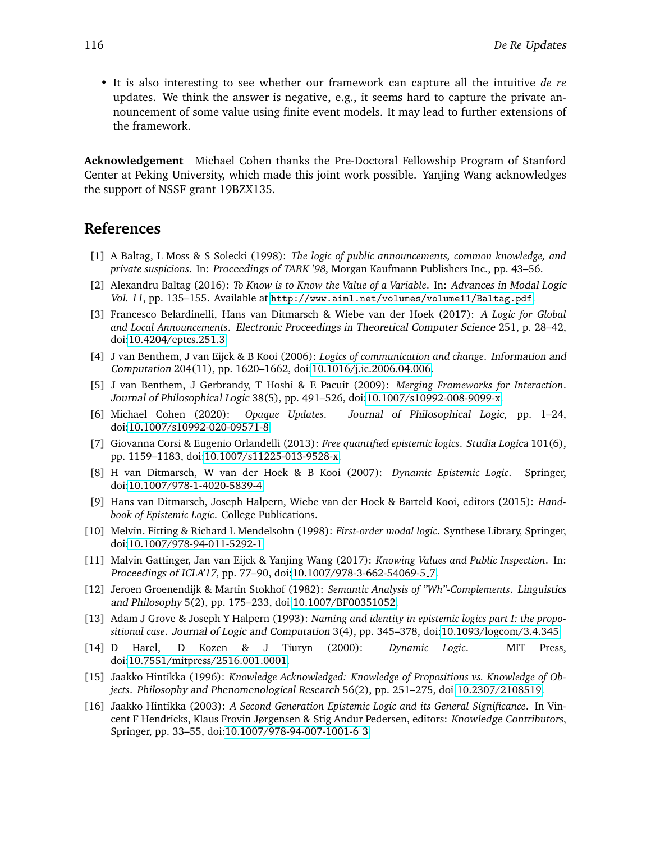• It is also interesting to see whether our framework can capture all the intuitive *de re* updates. We think the answer is negative, e.g., it seems hard to capture the private announcement of some value using finite event models. It may lead to further extensions of the framework.

**Acknowledgement** Michael Cohen thanks the Pre-Doctoral Fellowship Program of Stanford Center at Peking University, which made this joint work possible. Yanjing Wang acknowledges the support of NSSF grant 19BZX135.

### **References**

- <span id="page-13-14"></span>[1] A Baltag, L Moss & S Solecki (1998): *The logic of public announcements, common knowledge, and private suspicions*. In: Proceedings of TARK '98, Morgan Kaufmann Publishers Inc., pp. 43–56.
- <span id="page-13-7"></span>[2] Alexandru Baltag (2016): *To Know is to Know the Value of a Variable*. In: Advances in Modal Logic Vol. 11, pp. 135–155. Available at <http://www.aiml.net/volumes/volume11/Baltag.pdf>.
- <span id="page-13-12"></span>[3] Francesco Belardinelli, Hans van Ditmarsch & Wiebe van der Hoek (2017): *A Logic for Global and Local Announcements*. Electronic Proceedings in Theoretical Computer Science 251, p. 28–42, doi[:10.4204/eptcs.251.3.](http://dx.doi.org/10.4204/eptcs.251.3)
- <span id="page-13-15"></span>[4] J van Benthem, J van Eijck & B Kooi (2006): *Logics of communication and change*. Information and Computation 204(11), pp. 1620–1662, doi[:10.1016/j.ic.2006.04.006.](http://dx.doi.org/10.1016/j.ic.2006.04.006)
- <span id="page-13-2"></span>[5] J van Benthem, J Gerbrandy, T Hoshi & E Pacuit (2009): *Merging Frameworks for Interaction*. Journal of Philosophical Logic 38(5), pp. 491–526, doi[:10.1007/s10992-008-9099-x.](http://dx.doi.org/10.1007/s10992-008-9099-x)
- <span id="page-13-13"></span>[6] Michael Cohen (2020): *Opaque Updates*. Journal of Philosophical Logic, pp. 1–24, doi[:10.1007/s10992-020-09571-8.](http://dx.doi.org/10.1007/s10992-020-09571-8)
- <span id="page-13-11"></span>[7] Giovanna Corsi & Eugenio Orlandelli (2013): *Free quantified epistemic logics*. Studia Logica 101(6), pp. 1159–1183, doi[:10.1007/s11225-013-9528-x.](http://dx.doi.org/10.1007/s11225-013-9528-x)
- <span id="page-13-1"></span>[8] H van Ditmarsch, W van der Hoek & B Kooi (2007): *Dynamic Epistemic Logic*. Springer, doi[:10.1007/978-1-4020-5839-4.](http://dx.doi.org/10.1007/978-1-4020-5839-4)
- <span id="page-13-0"></span>[9] Hans van Ditmarsch, Joseph Halpern, Wiebe van der Hoek & Barteld Kooi, editors (2015): *Handbook of Epistemic Logic*. College Publications.
- <span id="page-13-9"></span>[10] Melvin. Fitting & Richard L Mendelsohn (1998): *First-order modal logic*. Synthese Library, Springer, doi[:10.1007/978-94-011-5292-1.](http://dx.doi.org/10.1007/978-94-011-5292-1)
- <span id="page-13-6"></span>[11] Malvin Gattinger, Jan van Eijck & Yanjing Wang (2017): *Knowing Values and Public Inspection*. In: Proceedings of ICLA'17, pp. 77–90, doi[:10.1007/978-3-662-54069-5](http://dx.doi.org/10.1007/978-3-662-54069-5_7) 7.
- <span id="page-13-5"></span>[12] Jeroen Groenendijk & Martin Stokhof (1982): *Semantic Analysis of "Wh"-Complements*. Linguistics and Philosophy 5(2), pp. 175–233, doi[:10.1007/BF00351052.](http://dx.doi.org/10.1007/BF00351052)
- <span id="page-13-10"></span>[13] Adam J Grove & Joseph Y Halpern (1993): *Naming and identity in epistemic logics part I: the propositional case*. Journal of Logic and Computation 3(4), pp. 345–378, doi[:10.1093/logcom/3.4.345.](http://dx.doi.org/10.1093/logcom/3.4.345)
- <span id="page-13-8"></span>[14] D Harel, D Kozen & J Tiuryn (2000): *Dynamic Logic*. MIT Press, doi[:10.7551/mitpress/2516.001.0001.](http://dx.doi.org/10.7551/mitpress/2516.001.0001)
- <span id="page-13-3"></span>[15] Jaakko Hintikka (1996): *Knowledge Acknowledged: Knowledge of Propositions vs. Knowledge of Objects*. Philosophy and Phenomenological Research 56(2), pp. 251–275, doi[:10.2307/2108519.](http://dx.doi.org/10.2307/2108519)
- <span id="page-13-4"></span>[16] Jaakko Hintikka (2003): *A Second Generation Epistemic Logic and its General Significance*. In Vincent F Hendricks, Klaus Frovin Jørgensen & Stig Andur Pedersen, editors: Knowledge Contributors, Springer, pp. 33-55, doi[:10.1007/978-94-007-1001-6](http://dx.doi.org/10.1007/978-94-007-1001-6_3)<sub>-3</sub>.